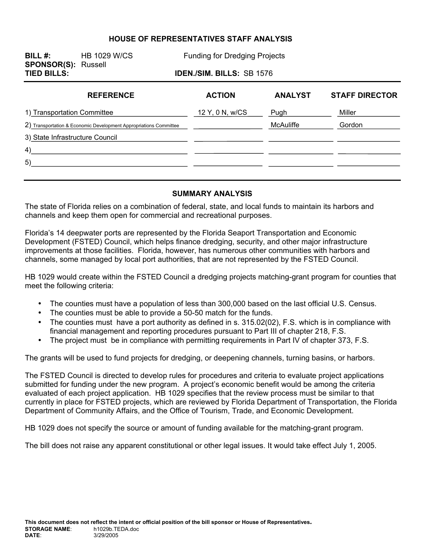#### **HOUSE OF REPRESENTATIVES STAFF ANALYSIS**

**SPONSOR(S):** Russell

**BILL #:** HB 1029 W/CS Funding for Dredging Projects

**TIED BILLS: IDEN./SIM. BILLS:** SB 1576

| <b>REFERENCE</b>                                                  | <b>ACTION</b>   | <b>ANALYST</b>   | <b>STAFF DIRECTOR</b> |
|-------------------------------------------------------------------|-----------------|------------------|-----------------------|
| 1) Transportation Committee                                       | 12 Y, 0 N, w/CS | Pugh             | Miller                |
| 2) Transportation & Economic Development Appropriations Committee |                 | <b>McAuliffe</b> | Gordon                |
| 3) State Infrastructure Council                                   |                 |                  |                       |
| 4)                                                                |                 |                  |                       |
| 5)                                                                |                 |                  |                       |
|                                                                   |                 |                  |                       |

#### **SUMMARY ANALYSIS**

The state of Florida relies on a combination of federal, state, and local funds to maintain its harbors and channels and keep them open for commercial and recreational purposes.

Florida's 14 deepwater ports are represented by the Florida Seaport Transportation and Economic Development (FSTED) Council, which helps finance dredging, security, and other major infrastructure improvements at those facilities. Florida, however, has numerous other communities with harbors and channels, some managed by local port authorities, that are not represented by the FSTED Council.

HB 1029 would create within the FSTED Council a dredging projects matching-grant program for counties that meet the following criteria:

- The counties must have a population of less than 300,000 based on the last official U.S. Census.
- The counties must be able to provide a 50-50 match for the funds.
- The counties must have a port authority as defined in s. 315.02(02), F.S. which is in compliance with financial management and reporting procedures pursuant to Part III of chapter 218, F.S.
- The project must be in compliance with permitting requirements in Part IV of chapter 373, F.S.

The grants will be used to fund projects for dredging, or deepening channels, turning basins, or harbors.

The FSTED Council is directed to develop rules for procedures and criteria to evaluate project applications submitted for funding under the new program. A project's economic benefit would be among the criteria evaluated of each project application. HB 1029 specifies that the review process must be similar to that currently in place for FSTED projects, which are reviewed by Florida Department of Transportation, the Florida Department of Community Affairs, and the Office of Tourism, Trade, and Economic Development.

HB 1029 does not specify the source or amount of funding available for the matching-grant program.

The bill does not raise any apparent constitutional or other legal issues. It would take effect July 1, 2005.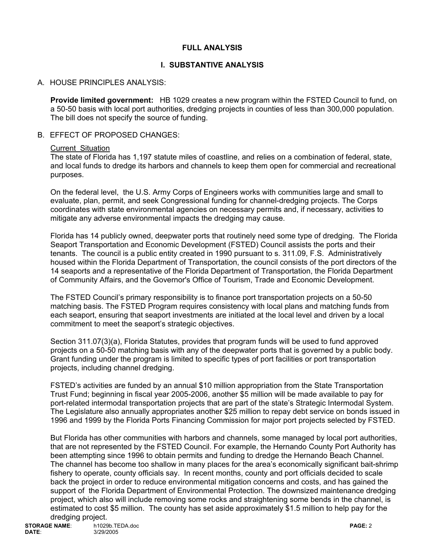### **FULL ANALYSIS**

### **I. SUBSTANTIVE ANALYSIS**

### A. HOUSE PRINCIPLES ANALYSIS:

**Provide limited government:** HB 1029 creates a new program within the FSTED Council to fund, on a 50-50 basis with local port authorities, dredging projects in counties of less than 300,000 population. The bill does not specify the source of funding.

#### B. EFFECT OF PROPOSED CHANGES:

#### Current Situation

The state of Florida has 1,197 statute miles of coastline, and relies on a combination of federal, state, and local funds to dredge its harbors and channels to keep them open for commercial and recreational purposes.

On the federal level, the U.S. Army Corps of Engineers works with communities large and small to evaluate, plan, permit, and seek Congressional funding for channel-dredging projects. The Corps coordinates with state environmental agencies on necessary permits and, if necessary, activities to mitigate any adverse environmental impacts the dredging may cause.

Florida has 14 publicly owned, deepwater ports that routinely need some type of dredging. The Florida Seaport Transportation and Economic Development (FSTED) Council assists the ports and their tenants. The council is a public entity created in 1990 pursuant to s. 311.09, F.S. Administratively housed within the Florida Department of Transportation, the council consists of the port directors of the 14 seaports and a representative of the Florida Department of Transportation, the Florida Department of Community Affairs, and the Governor's Office of Tourism, Trade and Economic Development.

The FSTED Council's primary responsibility is to finance port transportation projects on a 50-50 matching basis. The FSTED Program requires consistency with local plans and matching funds from each seaport, ensuring that seaport investments are initiated at the local level and driven by a local commitment to meet the seaport's strategic objectives.

Section 311.07(3)(a), Florida Statutes, provides that program funds will be used to fund approved projects on a 50-50 matching basis with any of the deepwater ports that is governed by a public body. Grant funding under the program is limited to specific types of port facilities or port transportation projects, including channel dredging.

FSTED's activities are funded by an annual \$10 million appropriation from the State Transportation Trust Fund; beginning in fiscal year 2005-2006, another \$5 million will be made available to pay for port-related intermodal transportation projects that are part of the state's Strategic Intermodal System. The Legislature also annually appropriates another \$25 million to repay debt service on bonds issued in 1996 and 1999 by the Florida Ports Financing Commission for major port projects selected by FSTED.

But Florida has other communities with harbors and channels, some managed by local port authorities, that are not represented by the FSTED Council. For example, the Hernando County Port Authority has been attempting since 1996 to obtain permits and funding to dredge the Hernando Beach Channel. The channel has become too shallow in many places for the area's economically significant bait-shrimp fishery to operate, county officials say. In recent months, county and port officials decided to scale back the project in order to reduce environmental mitigation concerns and costs, and has gained the support of the Florida Department of Environmental Protection. The downsized maintenance dredging project, which also will include removing some rocks and straightening some bends in the channel, is estimated to cost \$5 million. The county has set aside approximately \$1.5 million to help pay for the dredging project.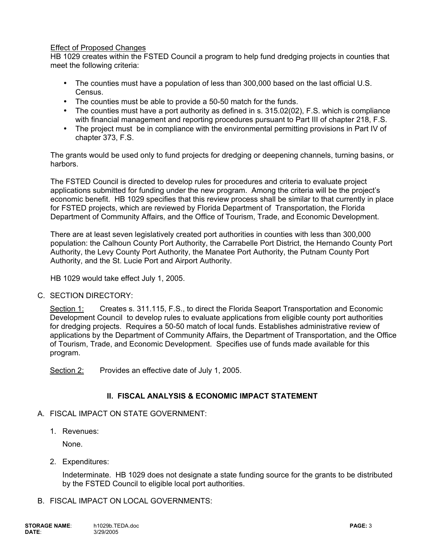#### Effect of Proposed Changes

HB 1029 creates within the FSTED Council a program to help fund dredging projects in counties that meet the following criteria:

- The counties must have a population of less than 300,000 based on the last official U.S. Census.
- The counties must be able to provide a 50-50 match for the funds.
- The counties must have a port authority as defined in s. 315.02(02), F.S. which is compliance with financial management and reporting procedures pursuant to Part III of chapter 218, F.S.
- The project must be in compliance with the environmental permitting provisions in Part IV of chapter 373, F.S.

The grants would be used only to fund projects for dredging or deepening channels, turning basins, or harbors.

The FSTED Council is directed to develop rules for procedures and criteria to evaluate project applications submitted for funding under the new program. Among the criteria will be the project's economic benefit. HB 1029 specifies that this review process shall be similar to that currently in place for FSTED projects, which are reviewed by Florida Department of Transportation, the Florida Department of Community Affairs, and the Office of Tourism, Trade, and Economic Development.

There are at least seven legislatively created port authorities in counties with less than 300,000 population: the Calhoun County Port Authority, the Carrabelle Port District, the Hernando County Port Authority, the Levy County Port Authority, the Manatee Port Authority, the Putnam County Port Authority, and the St. Lucie Port and Airport Authority.

HB 1029 would take effect July 1, 2005.

### C. SECTION DIRECTORY:

Section 1: Creates s. 311.115, F.S., to direct the Florida Seaport Transportation and Economic Development Council to develop rules to evaluate applications from eligible county port authorities for dredging projects. Requires a 50-50 match of local funds. Establishes administrative review of applications by the Department of Community Affairs, the Department of Transportation, and the Office of Tourism, Trade, and Economic Development. Specifies use of funds made available for this program.

Section 2: Provides an effective date of July 1, 2005.

### **II. FISCAL ANALYSIS & ECONOMIC IMPACT STATEMENT**

#### A. FISCAL IMPACT ON STATE GOVERNMENT:

1. Revenues:

None.

2. Expenditures:

Indeterminate. HB 1029 does not designate a state funding source for the grants to be distributed by the FSTED Council to eligible local port authorities.

B. FISCAL IMPACT ON LOCAL GOVERNMENTS: